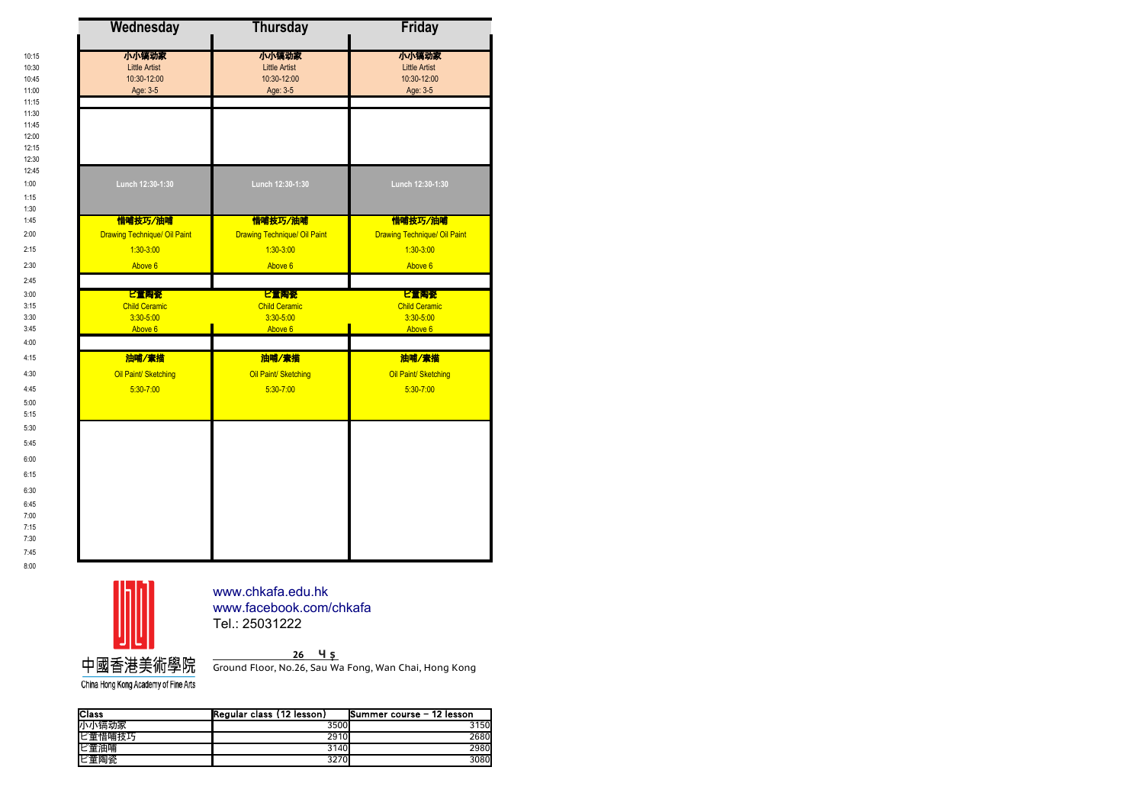| <b>Wednesday</b>                    | <b>Thursday</b>                     | <b>Friday</b>                       |
|-------------------------------------|-------------------------------------|-------------------------------------|
| 小小镐动家                               | 小小镐动家                               | 小小镐动家                               |
| <b>Little Artist</b>                | <b>Little Artist</b>                | <b>Little Artist</b>                |
| 10:30-12:00                         | 10:30-12:00                         | 10:30-12:00                         |
| Age: 3-5                            | Age: 3-5                            | Age: 3-5                            |
|                                     |                                     |                                     |
|                                     |                                     |                                     |
|                                     |                                     |                                     |
|                                     |                                     |                                     |
|                                     |                                     |                                     |
|                                     |                                     |                                     |
|                                     |                                     |                                     |
| Lunch 12:30-1:30                    | Lunch 12:30-1:30                    | Lunch 12:30-1:30                    |
|                                     |                                     |                                     |
| 惜哺技巧/油哺                             | 惜哺技巧/油哺                             | 惜哺技巧/油哺                             |
| <b>Drawing Technique/ Oil Paint</b> | <b>Drawing Technique/ Oil Paint</b> | <b>Drawing Technique/ Oil Paint</b> |
|                                     |                                     |                                     |
| $1:30-3:00$                         | $1:30-3:00$                         | $1:30-3:00$                         |
| Above 6                             | Above 6                             | Above 6                             |
|                                     |                                     |                                     |
| ピ宣陶瓷                                | ピ童陶瓷                                | ピ童陶瓷                                |
| <b>Child Ceramic</b>                | <b>Child Ceramic</b>                | <b>Child Ceramic</b>                |
| 3:30-5:00                           | $3:30 - 5:00$                       | $3:30 - 5:00$                       |
| Above 6                             | Above 6                             | Above 6                             |
|                                     |                                     |                                     |
| 油哺/素描                               | 油哺/素描                               | 油哺/素描                               |
| Oil Paint/ Sketching                | Oil Paint/ Sketching                | Oil Paint/ Sketching                |
| $5:30 - 7:00$                       | $5:30 - 7:00$                       | $5:30 - 7:00$                       |
|                                     |                                     |                                     |
|                                     |                                     |                                     |
|                                     |                                     |                                     |
|                                     |                                     |                                     |
|                                     |                                     |                                     |
|                                     |                                     |                                     |
|                                     |                                     |                                     |
|                                     |                                     |                                     |
|                                     |                                     |                                     |
|                                     |                                     |                                     |
|                                     |                                     |                                     |
|                                     |                                     |                                     |



China Hong Kong Academy of Fine Arts

11:15 11:30 11:45 12:00 12:15 12:30 12:45

1:15 1:30 1:45

2:45

4:00 4:15

5:00 5:15 5:30 5:45 6:00 6:15 6:30 6:45 7:00 7:15 7:30 7:45 8:00

> Tel.: 25031222 [www.chkafa.edu.hk](http://www.chkafa.edu.hk/) [www.facebook.com/chkafa](http://www.facebook.com/chkafa)

**香 港 灣 仔 秀 華 坊 26號 地 下**

Ground Floor, No.26, Sau Wa Fong, Wan Chai, Hong Kong

| <b>Class</b> | (Regular class (12 lesson) | Summer course - 12 lesson |
|--------------|----------------------------|---------------------------|
| 小小镐动家        | 3500                       | 3150                      |
| ピ童惜哺技巧       | 2910                       | 2680                      |
| ピ童油哺         | 3140 <b>I</b>              | 2980                      |
| ピ童陶瓷         | 3270                       | 3080                      |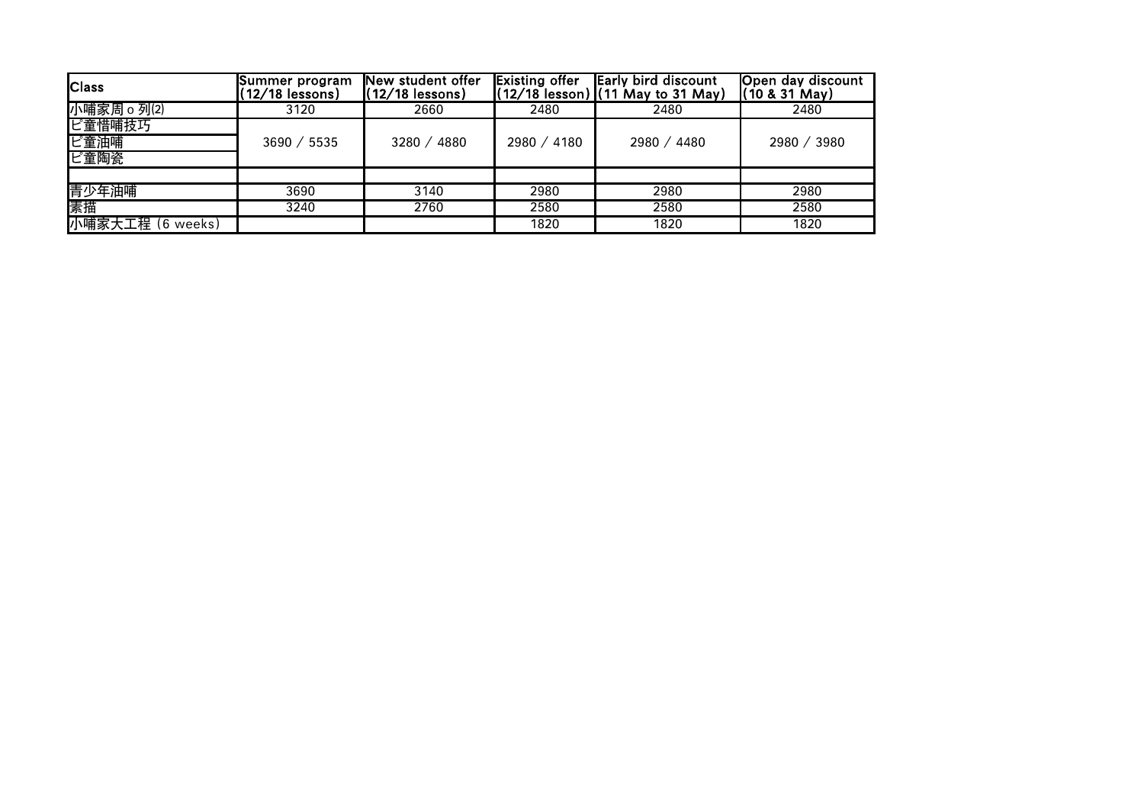| <b>Class</b>     | Summer program<br>$(12/18$ lessons) | New student offer<br>$(12/18$ lessons) | <b>Existing offer</b> | <b>Early bird discount</b><br>(12/18 lesson) (11 May to 31 May) | Open day discount<br>$(10 & 31$ May) |
|------------------|-------------------------------------|----------------------------------------|-----------------------|-----------------------------------------------------------------|--------------------------------------|
| 小哺家周 o 列⑵        | 3120                                | 2660                                   | 2480                  | 2480                                                            | 2480                                 |
| ピ童惜哺技巧           |                                     |                                        |                       |                                                                 |                                      |
| ピ童油哺             | 3690 / 5535                         | 3280 / 4880                            | 2980 / 4180           | 2980 / 4480                                                     | 2980 / 3980                          |
| ピ童陶瓷             |                                     |                                        |                       |                                                                 |                                      |
|                  |                                     |                                        |                       |                                                                 |                                      |
| 青少年油哺            | 3690                                | 3140                                   | 2980                  | 2980                                                            | 2980                                 |
| 素描               | 3240                                | 2760                                   | 2580                  | 2580                                                            | 2580                                 |
| 小哺家大工程 (6 weeks) |                                     |                                        | 1820                  | 1820                                                            | 1820                                 |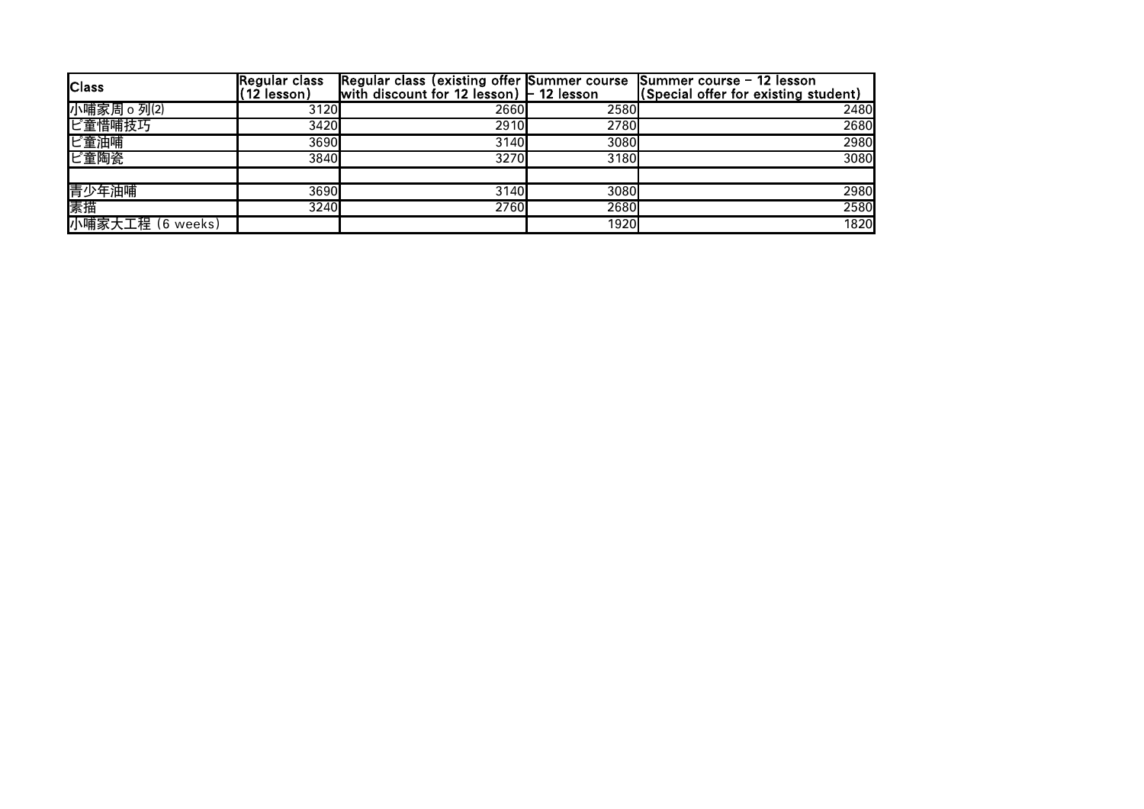| <b>Class</b>     | <b>IRegular class</b><br>.(12 lesson). | Regular class (existing offer Summer course Summer course - 12 lesson<br>with discount for 12 lesson) $-$ 12 lesson |      | (Special offer for existing student) |
|------------------|----------------------------------------|---------------------------------------------------------------------------------------------------------------------|------|--------------------------------------|
| 小哺家周 o 列⑵        | 3120                                   | 2660                                                                                                                | 2580 | 2480                                 |
| ピ童惜哺技巧           | 3420                                   | 2910                                                                                                                | 2780 | 2680                                 |
| ピ童油哺             | 3690                                   | 3140                                                                                                                | 3080 | 2980                                 |
| ピ童陶瓷             | 3840                                   | 3270                                                                                                                | 3180 | 3080                                 |
|                  |                                        |                                                                                                                     |      |                                      |
| 青少年油哺            | 3690                                   | 3140                                                                                                                | 3080 | 2980                                 |
| 素描               | 3240                                   | 2760                                                                                                                | 2680 | 2580                                 |
| 小哺家大工程 (6 weeks) |                                        |                                                                                                                     | 1920 | 1820                                 |